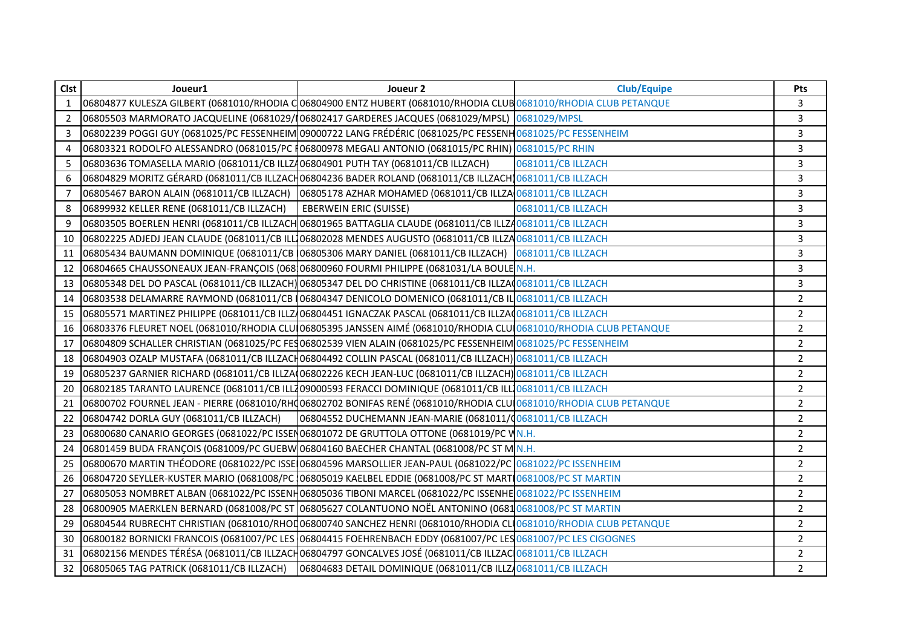| <b>Clst</b>  | Joueur1                                                                                                                                 | Joueur 2                                                                                                           | <b>Club/Equipe</b> | Pts            |
|--------------|-----------------------------------------------------------------------------------------------------------------------------------------|--------------------------------------------------------------------------------------------------------------------|--------------------|----------------|
| $\mathbf{1}$ | 06804877 KULESZA GILBERT (0681010/RHODIA C06804900 ENTZ HUBERT (0681010/RHODIA CLUB 0681010/RHODIA CLUB PETANQUE                        |                                                                                                                    |                    | 3              |
| 2            |                                                                                                                                         | 06805503 MARMORATO JACQUELINE (0681029/106802417 GARDERES JACQUES (0681029/MPSL) 0681029/MPSL                      |                    | 3              |
| 3            | 06802239 POGGI GUY (0681025/PC FESSENHEIM 09000722 LANG FRÉDÉRIC (0681025/PC FESSENH 0681025/PC FESSENHEIM                              |                                                                                                                    |                    | 3              |
| 4            | 06803321 RODOLFO ALESSANDRO (0681015/PC 106800978 MEGALI ANTONIO (0681015/PC RHIN) 0681015/PC RHIN                                      |                                                                                                                    |                    | 3              |
| 5            | 06803636 TOMASELLA MARIO (0681011/CB ILLZ406804901 PUTH TAY (0681011/CB ILLZACH)                                                        |                                                                                                                    | 0681011/CB ILLZACH | 3              |
| 6            |                                                                                                                                         | 06804829 MORITZ GÉRARD (0681011/CB ILLZACH06804236 BADER ROLAND (0681011/CB ILLZACH 0681011/CB ILLZACH             |                    | 3              |
| 7            | 06805467 BARON ALAIN (0681011/CB ILLZACH)                                                                                               | 06805178 AZHAR MOHAMED (0681011/CB ILLZA 0681011/CB ILLZACH                                                        |                    | 3              |
| 8            | 06899932 KELLER RENE (0681011/CB ILLZACH)                                                                                               | <b>EBERWEIN ERIC (SUISSE)</b>                                                                                      | 0681011/CB ILLZACH | 3              |
| 9            |                                                                                                                                         | 06803505 BOERLEN HENRI (0681011/CB ILLZACH 06801965 BATTAGLIA CLAUDE (0681011/CB ILLZ40681011/CB ILLZACH           |                    | 3              |
| 10           |                                                                                                                                         | 06802225 ADJEDJ JEAN CLAUDE (0681011/CB ILL 06802028 MENDES AUGUSTO (0681011/CB ILLZA 0681011/CB ILLZACH           |                    | 3              |
| 11           | 06805434 BAUMANN DOMINIQUE (0681011/CB 06805306 MARY DANIEL (0681011/CB ILLZACH) 0681011/CB ILLZACH                                     |                                                                                                                    |                    | 3              |
| 12           | 06804665 CHAUSSONEAUX JEAN-FRANÇOIS (068 06800960 FOURMI PHILIPPE (0681031/LA BOULE N.H.                                                |                                                                                                                    |                    | 3              |
| 13           | 06805348 DEL DO PASCAL (0681011/CB ILLZACH) 06805347 DEL DO CHRISTINE (0681011/CB ILLZA 0681011/CB ILLZACH                              |                                                                                                                    |                    | 3              |
| 14           | 06803538 DELAMARRE RAYMOND (0681011/CB   06804347 DENICOLO DOMENICO (0681011/CB IL 0681011/CB ILLZACH                                   |                                                                                                                    |                    | $\overline{2}$ |
| 15           | 06805571 MARTINEZ PHILIPPE (0681011/CB ILLZ/06804451 IGNACZAK PASCAL (0681011/CB ILLZA00681011/CB ILLZACH                               |                                                                                                                    |                    | $\overline{2}$ |
| 16           | 06803376 FLEURET NOEL (0681010/RHODIA CLU <b>I</b> 06805395 JANSSEN AIMÉ (0681010/RHODIA CLUI <mark>0681010/RHODIA CLUB PETANQUE</mark> |                                                                                                                    |                    | $\overline{2}$ |
| 17           | 06804809 SCHALLER CHRISTIAN (0681025/PC FES06802539 VIEN ALAIN (0681025/PC FESSENHEIM 0681025/PC FESSENHEIM                             |                                                                                                                    |                    | $\overline{2}$ |
| 18           | 06804903 OZALP MUSTAFA (0681011/CB ILLZACH06804492 COLLIN PASCAL (0681011/CB ILLZACH) 0681011/CB ILLZACH                                |                                                                                                                    |                    | $\overline{2}$ |
| 19           | 06805237 GARNIER RICHARD (0681011/CB ILLZA(06802226 KECH JEAN-LUC (0681011/CB ILLZACH) 0681011/CB ILLZACH                               |                                                                                                                    |                    | $\overline{2}$ |
| 20           | 06802185 TARANTO LAURENCE (0681011/CB ILL409000593 FERACCI DOMINIQUE (0681011/CB ILL10681011/CB ILLZACH                                 |                                                                                                                    |                    | $\overline{2}$ |
| 21           |                                                                                                                                         | 06800702 FOURNEL JEAN - PIERRE (0681010/RHO06802702 BONIFAS RENÉ (0681010/RHODIA CLUO681010/RHODIA CLUB PETANQUE   |                    | $\overline{2}$ |
| 22           | 06804742 DORLA GUY (0681011/CB ILLZACH)                                                                                                 | 06804552 DUCHEMANN JEAN-MARIE (0681011/0681011/CB ILLZACH                                                          |                    | $\overline{2}$ |
| 23           | O6800680 CANARIO GEORGES (0681022/PC ISSEN06801072 DE GRUTTOLA OTTONE (0681019/PC VNN.H.                                                |                                                                                                                    |                    | $\overline{2}$ |
| 24           |                                                                                                                                         | 06801459 BUDA FRANÇOIS (0681009/PC GUEBW 06804160 BAECHER CHANTAL (0681008/PC ST M N.H.                            |                    | $\overline{2}$ |
| 25           |                                                                                                                                         | 06800670 MARTIN THÉODORE (0681022/PC ISSE 06804596 MARSOLLIER JEAN-PAUL (0681022/PC 0681022/PC ISSENHEIM           |                    | $\overline{2}$ |
| 26           |                                                                                                                                         | 06804720 SEYLLER-KUSTER MARIO (0681008/PC 106805019 KAELBEL EDDIE (0681008/PC ST MART 0681008/PC ST MARTIN         |                    | $\overline{2}$ |
| 27           |                                                                                                                                         | 06805053 NOMBRET ALBAN (0681022/PC ISSENH06805036 TIBONI MARCEL (0681022/PC ISSENHE 0681022/PC ISSENHEIM           |                    | $\overline{2}$ |
| 28           |                                                                                                                                         | 06800905 MAERKLEN BERNARD (0681008/PC ST 06805627 COLANTUONO NOËL ANTONINO (0681 <mark>0681008/PC ST MARTIN</mark> |                    | $\overline{2}$ |
| 29           |                                                                                                                                         | 06804544 RUBRECHT CHRISTIAN (0681010/RHOD06800740 SANCHEZ HENRI (0681010/RHODIA CLO0681010/RHODIA CLUB PETANQUE    |                    | $\overline{2}$ |
| 30           |                                                                                                                                         | 06800182 BORNICKI FRANCOIS (0681007/PC LES 06804415 FOEHRENBACH EDDY (0681007/PC LES 0681007/PC LES CIGOGNES       |                    | $\overline{2}$ |
| 31           | 06802156 MENDES TÉRÉSA (0681011/CB ILLZACH06804797 GONCALVES JOSÉ (0681011/CB ILLZACO681011/CB ILLZACH                                  |                                                                                                                    |                    | $\overline{2}$ |
| 32           | 06805065 TAG PATRICK (0681011/CB ILLZACH)                                                                                               | 06804683 DETAIL DOMINIQUE (0681011/CB ILLZ/0681011/CB ILLZACH                                                      |                    | $\overline{2}$ |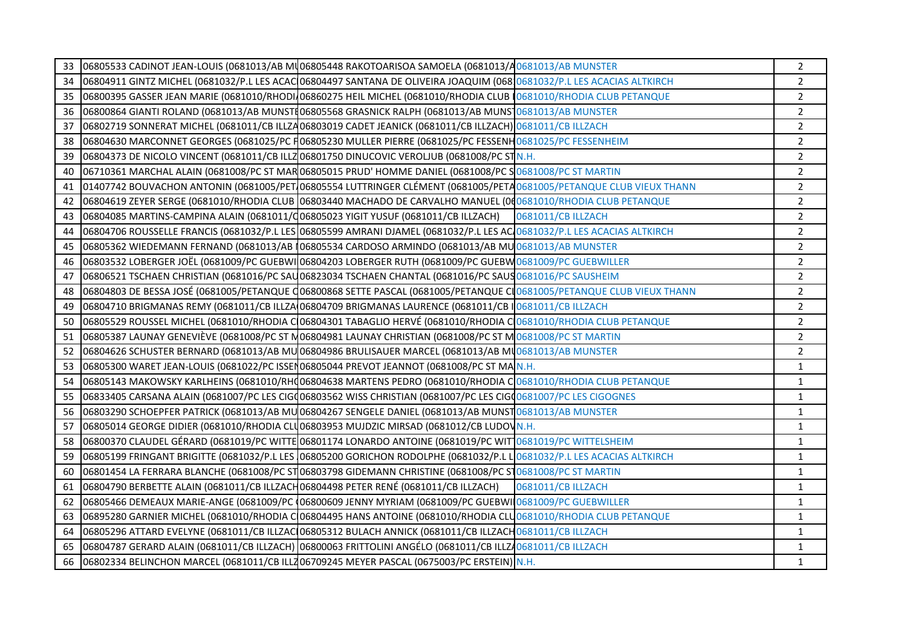| 33 | 06805533 CADINOT JEAN-LOUIS (0681013/AB MU06805448 RAKOTOARISOA SAMOELA (0681013/A0681013/AB MUNSTER                    |                           | $\overline{2}$ |
|----|-------------------------------------------------------------------------------------------------------------------------|---------------------------|----------------|
| 34 | 06804911 GINTZ MICHEL (0681032/P.L LES ACAC 06804497 SANTANA DE OLIVEIRA JOAQUIM (06810681032/P.L LES ACACIAS ALTKIRCH  |                           | $\overline{2}$ |
| 35 | 06800395 GASSER JEAN MARIE (0681010/RHODI 06860275 HEIL MICHEL (0681010/RHODIA CLUB 0681010/RHODIA CLUB PETANQUE        |                           | $\overline{2}$ |
| 36 | 06800864 GIANTI ROLAND (0681013/AB MUNSTI06805568 GRASNICK RALPH (0681013/AB MUNST0681013/AB MUNSTER                    |                           | $\overline{2}$ |
| 37 | 06802719 SONNERAT MICHEL (0681011/CB ILLZA06803019 CADET JEANICK (0681011/CB ILLZACH) 0681011/CB ILLZACH                |                           | $\overline{2}$ |
| 38 | 06804630 MARCONNET GEORGES (0681025/PC H06805230 MULLER PIERRE (0681025/PC FESSENH0681025/PC FESSENHEIM                 |                           | $\overline{2}$ |
| 39 | 06804373 DE NICOLO VINCENT (0681011/CB ILLZ 06801750 DINUCOVIC VEROLIUB (0681008/PC ST N.H.                             |                           | $\overline{2}$ |
| 40 | 06710361 MARCHAL ALAIN (0681008/PC ST MAR 06805015 PRUD' HOMME DANIEL (0681008/PC S0681008/PC ST MARTIN                 |                           | $\overline{2}$ |
| 41 | 01407742 BOUVACHON ANTONIN (0681005/PET 06805554 LUTTRINGER CLÉMENT (0681005/PETA 0681005/PETANQUE CLUB VIEUX THANN     |                           | $\overline{2}$ |
| 42 | 06804619 ZEYER SERGE (0681010/RHODIA CLUB 06803440 MACHADO DE CARVALHO MANUEL (000681010/RHODIA CLUB PETANQUE           |                           | $\overline{2}$ |
| 43 | 06804085 MARTINS-CAMPINA ALAIN (0681011/06805023 YIGIT YUSUF (0681011/CB ILLZACH)                                       | 0681011/CB ILLZACH        | $\overline{2}$ |
| 44 | 06804706 ROUSSELLE FRANCIS (0681032/P.L LES 06805599 AMRANI DJAMEL (0681032/P.L LES AC 0681032/P.L LES ACACIAS ALTKIRCH |                           | $\overline{2}$ |
| 45 | 06805362 WIEDEMANN FERNAND (0681013/AB 06805534 CARDOSO ARMINDO (0681013/AB MU0681013/AB MUNSTER                        |                           | $\overline{2}$ |
| 46 | 06803532 LOBERGER JOËL (0681009/PC GUEBWI 06804203 LOBERGER RUTH (0681009/PC GUEBW 0681009/PC GUEBWILLER                |                           | $\overline{2}$ |
| 47 | 06806521 TSCHAEN CHRISTIAN (0681016/PC SAU06823034 TSCHAEN CHANTAL (0681016/PC SAUS0681016/PC SAUSHEIM                  |                           | $\overline{2}$ |
| 48 | 06804803 DE BESSA JOSÉ (0681005/PETANQUE Q06800868 SETTE PASCAL (0681005/PETANQUE CL0681005/PETANQUE CLUB VIEUX THANN   |                           | $\overline{2}$ |
| 49 | 06804710 BRIGMANAS REMY (0681011/CB ILLZA 06804709 BRIGMANAS LAURENCE (0681011/CB I 0681011/CB ILLZACH                  |                           | $\overline{2}$ |
| 50 | 06805529 ROUSSEL MICHEL (0681010/RHODIA C 06804301 TABAGLIO HERVÉ (0681010/RHODIA C 0681010/RHODIA CLUB PETANQUE        |                           | $\overline{2}$ |
| 51 | 06805387 LAUNAY GENEVIÈVE (0681008/PC ST M06804981 LAUNAY CHRISTIAN (0681008/PC ST M0681008/PC ST MARTIN                |                           | $\overline{2}$ |
| 52 | 06804626 SCHUSTER BERNARD (0681013/AB MU 06804986 BRULISAUER MARCEL (0681013/AB MU0681013/AB MUNSTER                    |                           | $\overline{2}$ |
| 53 | 06805300 WARET JEAN-LOUIS (0681022/PC ISSEN06805044 PREVOT JEANNOT (0681008/PC ST MAN.H.                                |                           | $\mathbf{1}$   |
| 54 | 06805143 MAKOWSKY KARLHEINS (0681010/RHQ06804638 MARTENS PEDRO (0681010/RHODIA CO0881010/RHODIA CLUB PETANQUE           |                           | $\mathbf{1}$   |
| 55 | 06833405 CARSANA ALAIN (0681007/PC LES CIGQ06803562 WISS CHRISTIAN (0681007/PC LES CIGQ0681007/PC LES CIGOGNES          |                           | $\mathbf{1}$   |
| 56 | 06803290 SCHOEPFER PATRICK (0681013/AB MU 06804267 SENGELE DANIEL (0681013/AB MUNST 0681013/AB MUNSTER                  |                           | $\mathbf{1}$   |
| 57 | 06805014 GEORGE DIDIER (0681010/RHODIA CLU06803953 MUJDZIC MIRSAD (0681012/CB LUDOVN.H.                                 |                           | $\mathbf{1}$   |
| 58 | 06800370 CLAUDEL GÉRARD (0681019/PC WITTE 06801174 LONARDO ANTOINE (0681019/PC WIT 0681019/PC WITTELSHEIM               |                           | $\mathbf{1}$   |
| 59 | 06805199 FRINGANT BRIGITTE (0681032/P.L LES 06805200 GORICHON RODOLPHE (0681032/P.L LO681032/P.L LES ACACIAS ALTKIRCH   |                           | $\mathbf{1}$   |
| 60 | 06801454 LA FERRARA BLANCHE (0681008/PC ST 06803798 GIDEMANN CHRISTINE (0681008/PC ST 0681008/PC ST MARTIN              |                           | $\mathbf{1}$   |
| 61 | 06804790 BERBETTE ALAIN (0681011/CB ILLZACH06804498 PETER RENÉ (0681011/CB ILLZACH)                                     | <b>0681011/CB ILLZACH</b> | $\mathbf{1}$   |
| 62 | 06805466 DEMEAUX MARIE-ANGE (0681009/PC (06800609 JENNY MYRIAM (0681009/PC GUEBWII0681009/PC GUEBWILLER                 |                           | $\mathbf{1}$   |
| 63 | 06895280 GARNIER MICHEL (0681010/RHODIA C 06804495 HANS ANTOINE (0681010/RHODIA CLU 0681010/RHODIA CLUB PETANQUE        |                           | $\mathbf{1}$   |
| 64 | 06805296 ATTARD EVELYNE (0681011/CB ILLZAC 06805312 BULACH ANNICK (0681011/CB ILLZACH 0681011/CB ILLZACH                |                           | $\mathbf{1}$   |
| 65 | 06804787 GERARD ALAIN (0681011/CB ILLZACH) 06800063 FRITTOLINI ANGÉLO (0681011/CB ILLZA0681011/CB ILLZACH               |                           | $\mathbf{1}$   |
| 66 | 06802334 BELINCHON MARCEL (0681011/CB ILLZ06709245 MEYER PASCAL (0675003/PC ERSTEIN) N.H.                               |                           | $\mathbf{1}$   |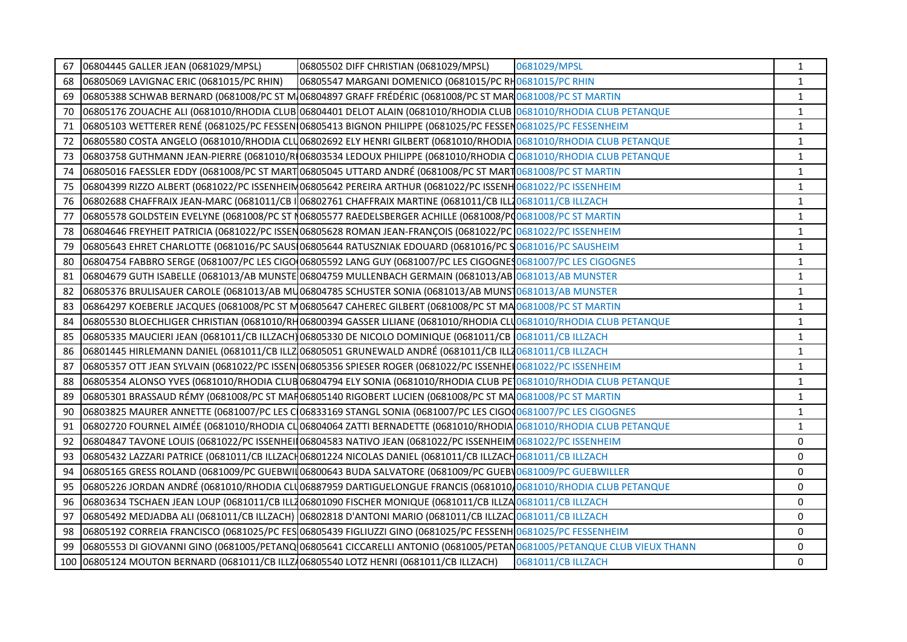| 67  | 06804445 GALLER JEAN (0681029/MPSL)                                                                                   | 06805502 DIFF CHRISTIAN (0681029/MPSL)                                                                                          | 0681029/MPSL       | $\mathbf{1}$ |
|-----|-----------------------------------------------------------------------------------------------------------------------|---------------------------------------------------------------------------------------------------------------------------------|--------------------|--------------|
| 68  | 06805069 LAVIGNAC ERIC (0681015/PC RHIN)                                                                              | 06805547 MARGANI DOMENICO (0681015/PC RH0681015/PC RHIN                                                                         |                    | $\mathbf{1}$ |
| 69  |                                                                                                                       | 06805388 SCHWAB BERNARD (0681008/PC ST MJ06804897 GRAFF FRÉDÉRIC (0681008/PC ST MARJ0681008/PC ST MARTIN                        |                    | $\mathbf{1}$ |
| 70  |                                                                                                                       | 06805176 ZOUACHE ALI (0681010/RHODIA CLUB 06804401 DELOT ALAIN (0681010/RHODIA CLUB 0681010/RHODIA CLUB PETANQUE                |                    | $\mathbf{1}$ |
| 71  |                                                                                                                       | 06805103 WETTERER RENÉ (0681025/PC FESSEN 06805413 BIGNON PHILIPPE (0681025/PC FESSEN 0681025/PC FESSENHEIM                     |                    | $\mathbf{1}$ |
| 72  |                                                                                                                       | 06805580 COSTA ANGELO (0681010/RHODIA CLU06802692 ELY HENRI GILBERT (0681010/RHODIA 0681010/RHODIA CLUB PETANQUE                |                    | $\mathbf{1}$ |
| 73  |                                                                                                                       | 06803758 GUTHMANN JEAN-PIERRE (0681010/RI06803534 LEDOUX PHILIPPE (0681010/RHODIA CO681010/RHODIA CLUB PETANQUE                 |                    | $\mathbf 1$  |
| 74  |                                                                                                                       | 06805016 FAESSLER EDDY (0681008/PC ST MART 06805045 UTTARD ANDRÉ (0681008/PC ST MART 0681008/PC ST MARTIN                       |                    | $\mathbf{1}$ |
| 75  |                                                                                                                       | 06804399 RIZZO ALBERT (0681022/PC ISSENHEIN 06805642 PEREIRA ARTHUR (0681022/PC ISSENH 0681022/PC ISSENHEIM                     |                    | $\mathbf{1}$ |
| 76  |                                                                                                                       | 06802688 CHAFFRAIX JEAN-MARC (0681011/CB I 06802761 CHAFFRAIX MARTINE (0681011/CB ILL20681011/CB ILLZACH                        |                    | $\mathbf{1}$ |
| 77  |                                                                                                                       | 06805578 GOLDSTEIN EVELYNE (0681008/PC ST N06805577 RAEDELSBERGER ACHILLE (0681008/PQ0681008/PC ST MARTIN                       |                    | $1\,$        |
| 78  |                                                                                                                       | 06804646 FREYHEIT PATRICIA (0681022/PC ISSEN06805628 ROMAN JEAN-FRANÇOIS (0681022/PC 0681022/PC ISSENHEIM                       |                    | $\mathbf{1}$ |
| 79  |                                                                                                                       | 06805643 EHRET CHARLOTTE (0681016/PC SAUS 06805644 RATUSZNIAK EDOUARD (0681016/PC SO681016/PC SAUSHEIM                          |                    | $\mathbf{1}$ |
| 80  |                                                                                                                       | 06804754 FABBRO SERGE (0681007/PC LES CIGO 06805592 LANG GUY (0681007/PC LES CIGOGNES 0681007/PC LES CIGOGNES                   |                    | $\mathbf{1}$ |
| 81  |                                                                                                                       | 06804679 GUTH ISABELLE (0681013/AB MUNSTE 06804759 MULLENBACH GERMAIN (0681013/AB 0681013/AB MUNSTER                            |                    | $\mathbf{1}$ |
| 82  |                                                                                                                       | 06805376 BRULISAUER CAROLE (0681013/AB MU06804785 SCHUSTER SONIA (0681013/AB MUNS10681013/AB MUNSTER                            |                    | $\mathbf{1}$ |
| 83  |                                                                                                                       | 06864297 KOEBERLE JACQUES (0681008/PC ST M06805647 CAHEREC GILBERT (0681008/PC ST MA0681008/PC ST MARTIN                        |                    | $\mathbf 1$  |
| 84  |                                                                                                                       | 06805530 BLOECHLIGER CHRISTIAN (0681010/RH06800394 GASSER LILIANE (0681010/RHODIA CLU <mark>0681010/RHODIA CLUB PETANQUE</mark> |                    | $\mathbf{1}$ |
| 85  |                                                                                                                       | 06805335 MAUCIERI JEAN (0681011/CB ILLZACH) 06805330 DE NICOLO DOMINIQUE (0681011/CB 0681011/CB ILLZACH                         |                    | $\mathbf{1}$ |
| 86  |                                                                                                                       | 06801445 HIRLEMANN DANIEL (0681011/CB ILLZ 06805051 GRUNEWALD ANDRÉ (0681011/CB ILLZ 0681011/CB ILLZACH                         |                    | $\mathbf{1}$ |
| 87  |                                                                                                                       | 06805357 OTT JEAN SYLVAIN (0681022/PC ISSEN 06805356 SPIESER ROGER (0681022/PC ISSENHEI 0681022/PC ISSENHEIM                    |                    | $1\,$        |
| 88  |                                                                                                                       | 06805354 ALONSO YVES (0681010/RHODIA CLUB06804794 ELY SONIA (0681010/RHODIA CLUB PE <sup>1</sup> 0681010/RHODIA CLUB PETANQUE   |                    | $\mathbf{1}$ |
| 89  |                                                                                                                       | 06805301 BRASSAUD RÉMY (0681008/PC ST MAR06805140 RIGOBERT LUCIEN (0681008/PC ST MA 0681008/PC ST MARTIN                        |                    | $\mathbf{1}$ |
| 90  |                                                                                                                       | 06803825 MAURER ANNETTE (0681007/PC LES C 06833169 STANGL SONIA (0681007/PC LES CIGO 0681007/PC LES CIGOGNES                    |                    | $\mathbf{1}$ |
| 91  |                                                                                                                       | 06802720 FOURNEL AIMÉE (0681010/RHODIA CLO6804064 ZATTI BERNADETTE (0681010/RHODIA 0681010/RHODIA CLUB PETANQUE                 |                    | $\mathbf 1$  |
| 92  |                                                                                                                       | 06804847 TAVONE LOUIS (0681022/PC ISSENHEI 06804583 NATIVO JEAN (0681022/PC ISSENHEIM 0681022/PC ISSENHEIM                      |                    | 0            |
| 93  |                                                                                                                       | 06805432 LAZZARI PATRICE (0681011/CB ILLZACH06801224 NICOLAS DANIEL (0681011/CB ILLZACH0681011/CB ILLZACH                       |                    | 0            |
| 94  |                                                                                                                       | 06805165 GRESS ROLAND (0681009/PC GUEBWII 06800643 BUDA SALVATORE (0681009/PC GUEBV0681009/PC GUEBWILLER                        |                    | 0            |
| 95  |                                                                                                                       | 06805226 JORDAN ANDRÉ (0681010/RHODIA CLU06887959 DARTIGUELONGUE FRANCIS (0681010/0681010/RHODIA CLUB PETANQUE                  |                    | 0            |
| 96  |                                                                                                                       | 06803634 TSCHAEN JEAN LOUP (0681011/CB ILL206801090 FISCHER MONIQUE (0681011/CB ILLZA0681011/CB ILLZACH                         |                    | 0            |
| 97  |                                                                                                                       | 06805492 MEDJADBA ALI (0681011/CB ILLZACH) 06802818 D'ANTONI MARIO (0681011/CB ILLZACO681011/CB ILLZACH                         |                    | 0            |
| 98  |                                                                                                                       | 06805192 CORREIA FRANCISCO (0681025/PC FES 06805439 FIGLIUZZI GINO (0681025/PC FESSENH 0681025/PC FESSENHEIM                    |                    | 0            |
| 99  | 06805553 DI GIOVANNI GINO (0681005/PETANQ 06805641 CICCARELLI ANTONIO (0681005/PETAN0681005/PETANQUE CLUB VIEUX THANN |                                                                                                                                 |                    | 0            |
| 100 | 06805124 MOUTON BERNARD (0681011/CB ILLZ/06805540 LOTZ HENRI (0681011/CB ILLZACH)                                     |                                                                                                                                 | 0681011/CB ILLZACH | 0            |